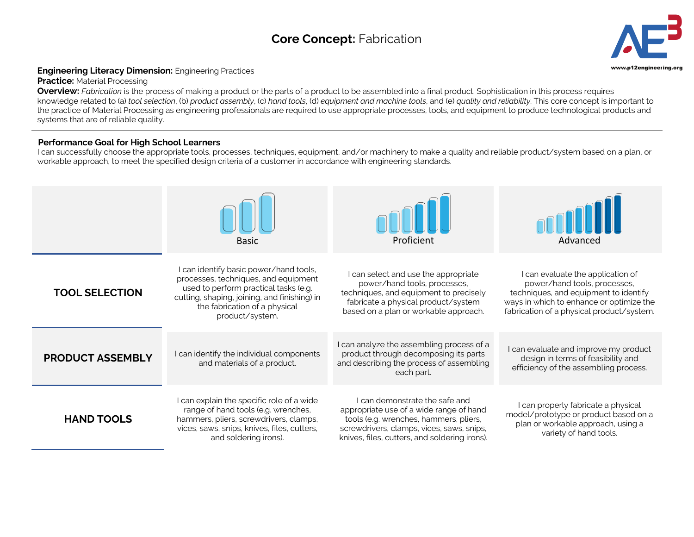## **Core Concept:** Fabrication **3**



## **Engineering Literacy Dimension:** Engineering Practices **Engineering Construction** of the structure of the structure of the structure of the structure of the structure of the structure of the structure of the structure of

**Practice:** Material Processing

**Overview:** *Fabrication* is the process of making a product or the parts of a product to be assembled into a final product. Sophistication in this process requires knowledge related to (a) *tool selection*, (b) *product assembly*, (c) *hand tools*, (d) *equipment and machine tools*, and (e) *quality and reliability*. This core concept is important to the practice of Material Processing as engineering professionals are required to use appropriate processes, tools, and equipment to produce technological products and systems that are of reliable quality.

## **Performance Goal for High School Learners**

I can successfully choose the appropriate tools, processes, techniques, equipment, and/or machinery to make a quality and reliable product/system based on a plan, or workable approach, to meet the specified design criteria of a customer in accordance with engineering standards.

|                         | <b>Basic</b>                                                                                                                                                                                                              | Proficient                                                                                                                                                                                                        | Advanced                                                                                                                                                                                          |
|-------------------------|---------------------------------------------------------------------------------------------------------------------------------------------------------------------------------------------------------------------------|-------------------------------------------------------------------------------------------------------------------------------------------------------------------------------------------------------------------|---------------------------------------------------------------------------------------------------------------------------------------------------------------------------------------------------|
| <b>TOOL SELECTION</b>   | can identify basic power/hand tools,<br>processes, techniques, and equipment<br>used to perform practical tasks (e.g.<br>cutting, shaping, joining, and finishing) in<br>the fabrication of a physical<br>product/system. | I can select and use the appropriate<br>power/hand tools, processes,<br>techniques, and equipment to precisely<br>fabricate a physical product/system<br>based on a plan or workable approach.                    | can evaluate the application of<br>power/hand tools, processes,<br>techniques, and equipment to identify<br>ways in which to enhance or optimize the<br>fabrication of a physical product/system. |
| <b>PRODUCT ASSEMBLY</b> | I can identify the individual components<br>and materials of a product.                                                                                                                                                   | I can analyze the assembling process of a<br>product through decomposing its parts<br>and describing the process of assembling<br>each part.                                                                      | I can evaluate and improve my product<br>design in terms of feasibility and<br>efficiency of the assembling process.                                                                              |
| <b>HAND TOOLS</b>       | I can explain the specific role of a wide<br>range of hand tools (e.g. wrenches,<br>hammers, pliers, screwdrivers, clamps,<br>vices, saws, snips, knives, files, cutters,<br>and soldering irons).                        | I can demonstrate the safe and<br>appropriate use of a wide range of hand<br>tools (e.g. wrenches, hammers, pliers,<br>screwdrivers, clamps, vices, saws, snips,<br>knives, files, cutters, and soldering irons). | I can properly fabricate a physical<br>model/prototype or product based on a<br>plan or workable approach, using a<br>variety of hand tools.                                                      |